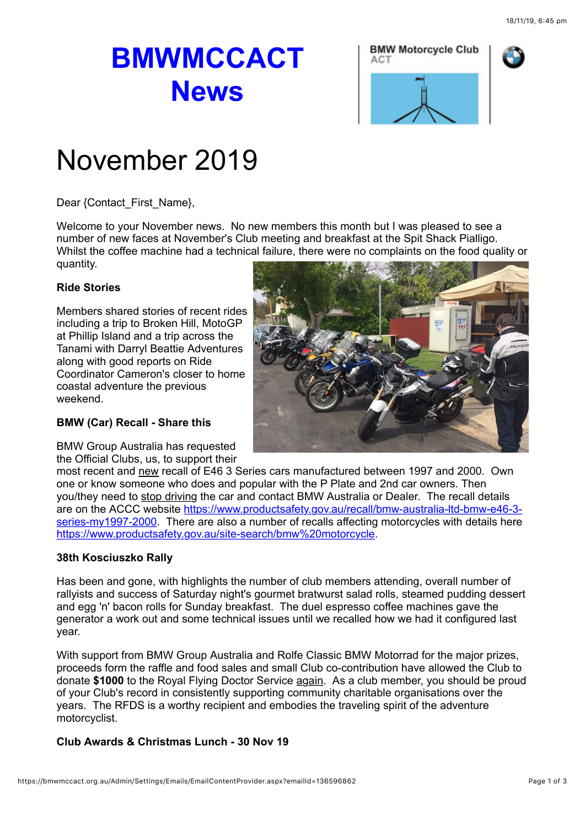# **BMWMCCACT News**





## November 2019

Dear {Contact\_First\_Name},

Welcome to your November news. No new members this month but I was pleased to see a number of new faces at November's Club meeting and breakfast at the Spit Shack Pialligo. Whilst the coffee machine had a technical failure, there were no complaints on the food quality or quantity.

### **Ride Stories**

Members shared stories of recent rides including a trip to Broken Hill, MotoGP at Phillip Island and a trip across the Tanami with Darryl Beattie Adventures along with good reports on Ride Coordinator Cameron's closer to home coastal adventure the previous weekend.

#### **BMW (Car) Recall - Share this**

BMW Group Australia has requested the Official Clubs, us, to support their



most recent and new recall of E46 3 Series cars manufactured between 1997 and 2000. Own one or know someone who does and popular with the P Plate and 2nd car owners. Then you/they need to stop driving the car and contact BMW Australia or Dealer. The recall details [are on the ACCC website https://www.productsafety.gov.au/recall/bmw-australia-ltd-bmw-e46-3](https://bmwclubsaustralia.wildapricot.org/EmailTracker/LinkTracker.ashx?linkAndRecipientCode=9VsPySIdEHBXeaM11mK92kE6W%2fFdhvR%2f3ES%2bSpkMkajGLpOL78GWDK5C%2bZTVz%2fmhNfwey%2fs2c116xHKcutsPIO2UDx%2bwJXOhRLfB7jumjYk%3d) series-my1997-2000. There are also a number of recalls affecting motorcycles with details here [https://www.productsafety.gov.au/site-search/bmw%20motorcycle.](https://www.productsafety.gov.au/site-search/bmw%20motorcycle)

#### **38th Kosciuszko Rally**

Has been and gone, with highlights the number of club members attending, overall number of rallyists and success of Saturday night's gourmet bratwurst salad rolls, steamed pudding dessert and egg 'n' bacon rolls for Sunday breakfast. The duel espresso coffee machines gave the generator a work out and some technical issues until we recalled how we had it configured last year.

With support from BMW Group Australia and Rolfe Classic BMW Motorrad for the major prizes, proceeds form the raffle and food sales and small Club co-contribution have allowed the Club to donate **\$1000** to the Royal Flying Doctor Service again. As a club member, you should be proud of your Club's record in consistently supporting community charitable organisations over the years. The RFDS is a worthy recipient and embodies the traveling spirit of the adventure motorcyclist.

#### **Club Awards & Christmas Lunch - 30 Nov 19**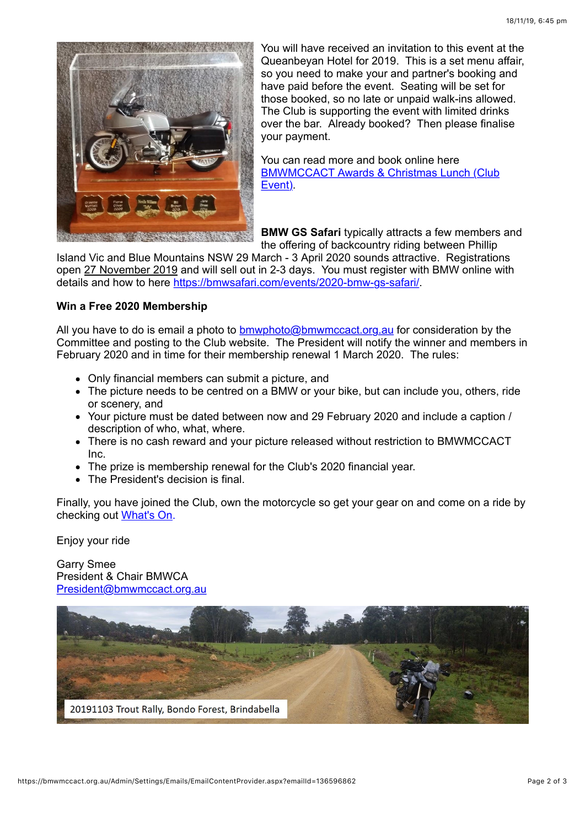

You will have received an invitation to this event at the Queanbeyan Hotel for 2019. This is a set menu affair, so you need to make your and partner's booking and have paid before the event. Seating will be set for those booked, so no late or unpaid walk-ins allowed. The Club is supporting the event with limited drinks over the bar. Already booked? Then please finalise your payment.

You can read more and book online here [BMWMCCACT Awards & Christmas Lunch \(Club](https://bmwmccact.org.au/event-3519854) Event).

**BMW GS Safari** typically attracts a few members and the offering of backcountry riding between Phillip

Island Vic and Blue Mountains NSW 29 March - 3 April 2020 sounds attractive. Registrations open 27 November 2019 and will sell out in 2-3 days. You must register with BMW online with details and how to here [https://bmwsafari.com/events/2020-bmw-gs-safari/.](https://bmwsafari.com/events/2020-bmw-gs-safari/)

#### **Win a Free 2020 Membership**

All you have to do is email a photo to [bmwphoto@bmwmccact.org.au](mailto:bmwphoto@bmwmccact.org.au) for consideration by the Committee and posting to the Club website. The President will notify the winner and members in February 2020 and in time for their membership renewal 1 March 2020. The rules:

- Only financial members can submit a picture, and
- The picture needs to be centred on a BMW or your bike, but can include you, others, ride or scenery, and
- Your picture must be dated between now and 29 February 2020 and include a caption / description of who, what, where.
- There is no cash reward and your picture released without restriction to BMWMCCACT Inc.
- The prize is membership renewal for the Club's 2020 financial year.
- The President's decision is final.

Finally, you have joined the Club, own the motorcycle so get your gear on and come on a ride by checking out [What's On.](https://bmwmccact.org.au/page-1419638)

Enjoy your ride

Garry Smee President & Chair BMWCA [President@bmwmccact.org.au](mailto:President@bmwmccact.org.au)